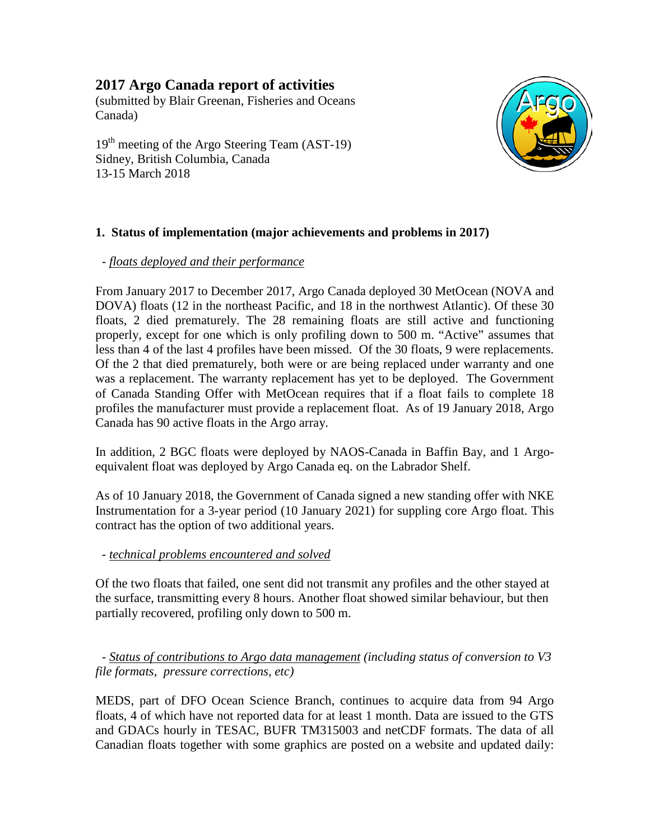# **2017 Argo Canada report of activities**

(submitted by Blair Greenan, Fisheries and Oceans Canada)

 $19<sup>th</sup>$  meeting of the Argo Steering Team (AST-19) Sidney, British Columbia, Canada 13-15 March 2018



## **1. Status of implementation (major achievements and problems in 2017)**

## *- floats deployed and their performance*

From January 2017 to December 2017, Argo Canada deployed 30 MetOcean (NOVA and DOVA) floats (12 in the northeast Pacific, and 18 in the northwest Atlantic). Of these 30 floats, 2 died prematurely. The 28 remaining floats are still active and functioning properly, except for one which is only profiling down to 500 m. "Active" assumes that less than 4 of the last 4 profiles have been missed. Of the 30 floats, 9 were replacements. Of the 2 that died prematurely, both were or are being replaced under warranty and one was a replacement. The warranty replacement has yet to be deployed. The Government of Canada Standing Offer with MetOcean requires that if a float fails to complete 18 profiles the manufacturer must provide a replacement float. As of 19 January 2018, Argo Canada has 90 active floats in the Argo array.

In addition, 2 BGC floats were deployed by NAOS-Canada in Baffin Bay, and 1 Argoequivalent float was deployed by Argo Canada eq. on the Labrador Shelf.

As of 10 January 2018, the Government of Canada signed a new standing offer with NKE Instrumentation for a 3-year period (10 January 2021) for suppling core Argo float. This contract has the option of two additional years.

## *- technical problems encountered and solved*

Of the two floats that failed, one sent did not transmit any profiles and the other stayed at the surface, transmitting every 8 hours. Another float showed similar behaviour, but then partially recovered, profiling only down to 500 m.

 *- Status of contributions to Argo data management (including status of conversion to V3 file formats, pressure corrections, etc)*

MEDS, part of DFO Ocean Science Branch, continues to acquire data from 94 Argo floats, 4 of which have not reported data for at least 1 month. Data are issued to the GTS and GDACs hourly in TESAC, BUFR TM315003 and netCDF formats. The data of all Canadian floats together with some graphics are posted on a website and updated daily: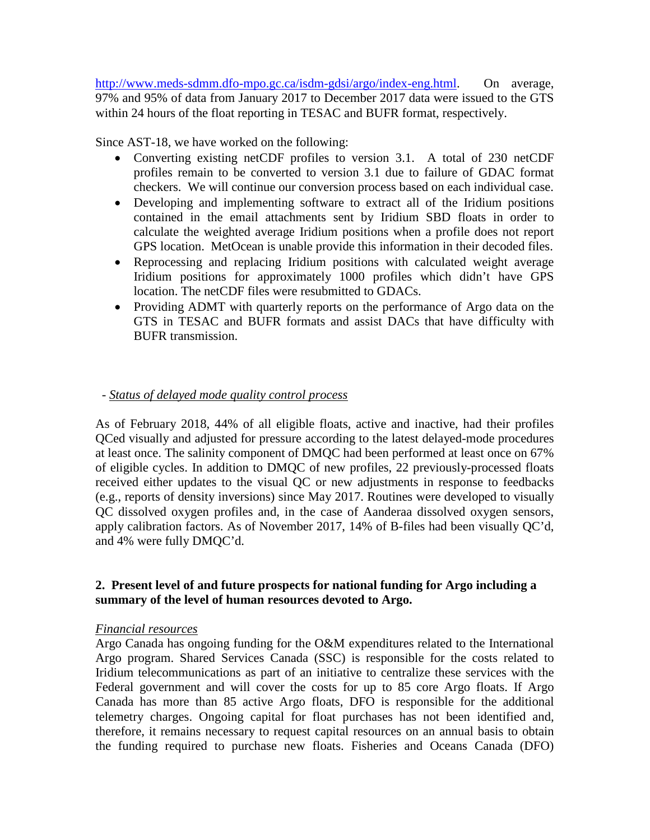[http://www.meds-sdmm.dfo-mpo.gc.ca/isdm-gdsi/argo/index-eng.html.](http://www.meds-sdmm.dfo-mpo.gc.ca/isdm-gdsi/argo/index-eng.html) On average, 97% and 95% of data from January 2017 to December 2017 data were issued to the GTS within 24 hours of the float reporting in TESAC and BUFR format, respectively.

Since AST-18, we have worked on the following:

- Converting existing netCDF profiles to version 3.1. A total of 230 netCDF profiles remain to be converted to version 3.1 due to failure of GDAC format checkers. We will continue our conversion process based on each individual case.
- Developing and implementing software to extract all of the Iridium positions contained in the email attachments sent by Iridium SBD floats in order to calculate the weighted average Iridium positions when a profile does not report GPS location. MetOcean is unable provide this information in their decoded files.
- Reprocessing and replacing Iridium positions with calculated weight average Iridium positions for approximately 1000 profiles which didn't have GPS location. The netCDF files were resubmitted to GDACs.
- Providing ADMT with quarterly reports on the performance of Argo data on the GTS in TESAC and BUFR formats and assist DACs that have difficulty with BUFR transmission.

## *- Status of delayed mode quality control process*

As of February 2018, 44% of all eligible floats, active and inactive, had their profiles QCed visually and adjusted for pressure according to the latest delayed-mode procedures at least once. The salinity component of DMQC had been performed at least once on 67% of eligible cycles. In addition to DMQC of new profiles, 22 previously-processed floats received either updates to the visual QC or new adjustments in response to feedbacks (e.g., reports of density inversions) since May 2017. Routines were developed to visually QC dissolved oxygen profiles and, in the case of Aanderaa dissolved oxygen sensors, apply calibration factors. As of November 2017, 14% of B-files had been visually QC'd, and 4% were fully DMQC'd.

#### **2. Present level of and future prospects for national funding for Argo including a summary of the level of human resources devoted to Argo.**

#### *Financial resources*

Argo Canada has ongoing funding for the O&M expenditures related to the International Argo program. Shared Services Canada (SSC) is responsible for the costs related to Iridium telecommunications as part of an initiative to centralize these services with the Federal government and will cover the costs for up to 85 core Argo floats. If Argo Canada has more than 85 active Argo floats, DFO is responsible for the additional telemetry charges. Ongoing capital for float purchases has not been identified and, therefore, it remains necessary to request capital resources on an annual basis to obtain the funding required to purchase new floats. Fisheries and Oceans Canada (DFO)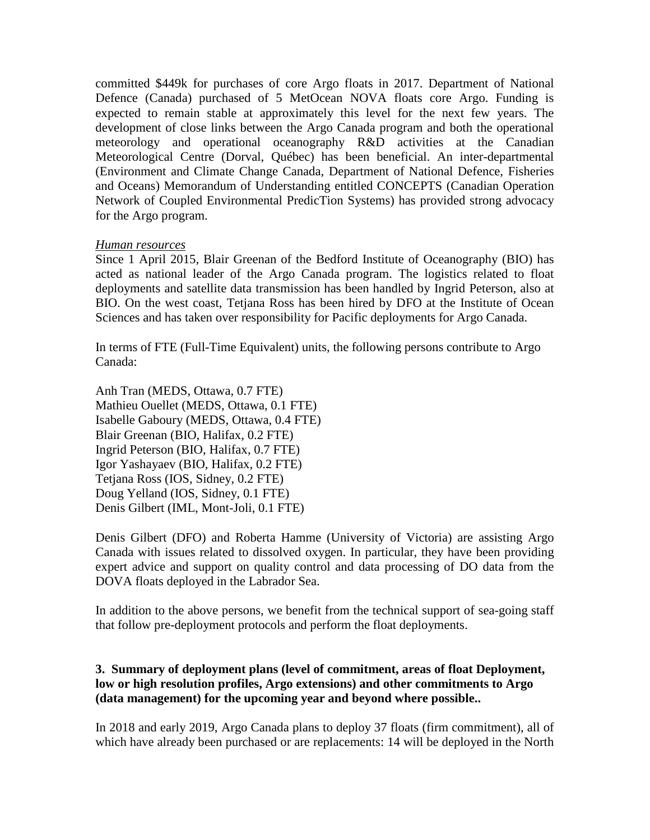committed \$449k for purchases of core Argo floats in 2017. Department of National Defence (Canada) purchased of 5 MetOcean NOVA floats core Argo. Funding is expected to remain stable at approximately this level for the next few years. The development of close links between the Argo Canada program and both the operational meteorology and operational oceanography R&D activities at the Canadian Meteorological Centre (Dorval, Québec) has been beneficial. An inter-departmental (Environment and Climate Change Canada, Department of National Defence, Fisheries and Oceans) Memorandum of Understanding entitled CONCEPTS (Canadian Operation Network of Coupled Environmental PredicTion Systems) has provided strong advocacy for the Argo program.

#### *Human resources*

Since 1 April 2015, Blair Greenan of the Bedford Institute of Oceanography (BIO) has acted as national leader of the Argo Canada program. The logistics related to float deployments and satellite data transmission has been handled by Ingrid Peterson, also at BIO. On the west coast, Tetjana Ross has been hired by DFO at the Institute of Ocean Sciences and has taken over responsibility for Pacific deployments for Argo Canada.

In terms of FTE (Full-Time Equivalent) units, the following persons contribute to Argo Canada:

Anh Tran (MEDS, Ottawa, 0.7 FTE) Mathieu Ouellet (MEDS, Ottawa, 0.1 FTE) Isabelle Gaboury (MEDS, Ottawa, 0.4 FTE) Blair Greenan (BIO, Halifax, 0.2 FTE) Ingrid Peterson (BIO, Halifax, 0.7 FTE) Igor Yashayaev (BIO, Halifax, 0.2 FTE) Tetjana Ross (IOS, Sidney, 0.2 FTE) Doug Yelland (IOS, Sidney, 0.1 FTE) Denis Gilbert (IML, Mont-Joli, 0.1 FTE)

Denis Gilbert (DFO) and Roberta Hamme (University of Victoria) are assisting Argo Canada with issues related to dissolved oxygen. In particular, they have been providing expert advice and support on quality control and data processing of DO data from the DOVA floats deployed in the Labrador Sea.

In addition to the above persons, we benefit from the technical support of sea-going staff that follow pre-deployment protocols and perform the float deployments.

#### **3. Summary of deployment plans (level of commitment, areas of float Deployment, low or high resolution profiles, Argo extensions) and other commitments to Argo (data management) for the upcoming year and beyond where possible..**

In 2018 and early 2019, Argo Canada plans to deploy 37 floats (firm commitment), all of which have already been purchased or are replacements: 14 will be deployed in the North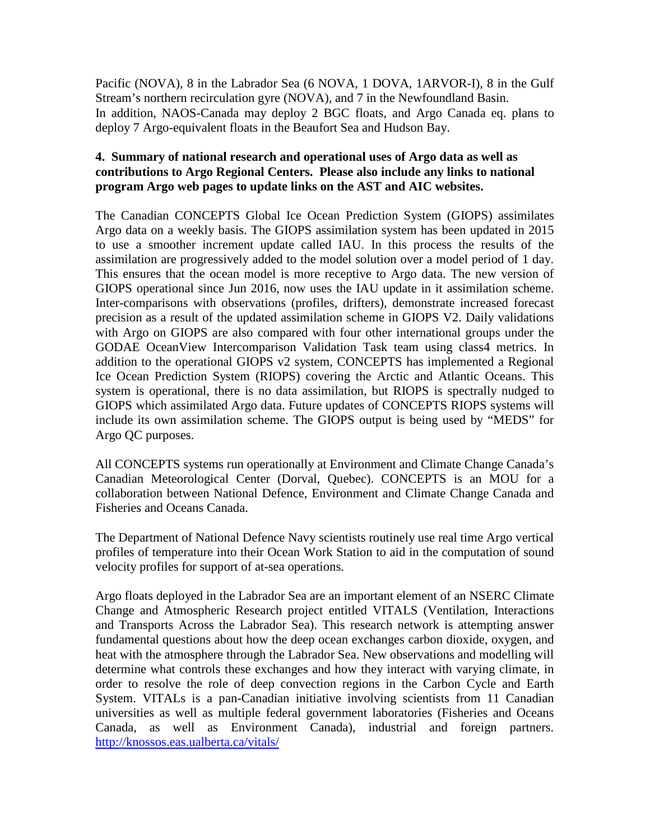Pacific (NOVA), 8 in the Labrador Sea (6 NOVA, 1 DOVA, 1ARVOR-I), 8 in the Gulf Stream's northern recirculation gyre (NOVA), and 7 in the Newfoundland Basin. In addition, NAOS-Canada may deploy 2 BGC floats, and Argo Canada eq. plans to deploy 7 Argo-equivalent floats in the Beaufort Sea and Hudson Bay.

## **4. Summary of national research and operational uses of Argo data as well as contributions to Argo Regional Centers. Please also include any links to national program Argo web pages to update links on the AST and AIC websites.**

The Canadian CONCEPTS Global Ice Ocean Prediction System (GIOPS) assimilates Argo data on a weekly basis. The GIOPS assimilation system has been updated in 2015 to use a smoother increment update called IAU. In this process the results of the assimilation are progressively added to the model solution over a model period of 1 day. This ensures that the ocean model is more receptive to Argo data. The new version of GIOPS operational since Jun 2016, now uses the IAU update in it assimilation scheme. Inter-comparisons with observations (profiles, drifters), demonstrate increased forecast precision as a result of the updated assimilation scheme in GIOPS V2. Daily validations with Argo on GIOPS are also compared with four other international groups under the GODAE OceanView Intercomparison Validation Task team using class4 metrics. In addition to the operational GIOPS v2 system, CONCEPTS has implemented a Regional Ice Ocean Prediction System (RIOPS) covering the Arctic and Atlantic Oceans. This system is operational, there is no data assimilation, but RIOPS is spectrally nudged to GIOPS which assimilated Argo data. Future updates of CONCEPTS RIOPS systems will include its own assimilation scheme. The GIOPS output is being used by "MEDS" for Argo QC purposes.

All CONCEPTS systems run operationally at Environment and Climate Change Canada's Canadian Meteorological Center (Dorval, Quebec). CONCEPTS is an MOU for a collaboration between National Defence, Environment and Climate Change Canada and Fisheries and Oceans Canada.

The Department of National Defence Navy scientists routinely use real time Argo vertical profiles of temperature into their Ocean Work Station to aid in the computation of sound velocity profiles for support of at-sea operations.

Argo floats deployed in the Labrador Sea are an important element of an NSERC Climate Change and Atmospheric Research project entitled VITALS (Ventilation, Interactions and Transports Across the Labrador Sea). This research network is attempting answer fundamental questions about how the deep ocean exchanges carbon dioxide, oxygen, and heat with the atmosphere through the Labrador Sea. New observations and modelling will determine what controls these exchanges and how they interact with varying climate, in order to resolve the role of deep convection regions in the Carbon Cycle and Earth System. VITALs is a pan-Canadian initiative involving scientists from 11 Canadian universities as well as multiple federal government laboratories (Fisheries and Oceans Canada, as well as Environment Canada), industrial and foreign partners. <http://knossos.eas.ualberta.ca/vitals/>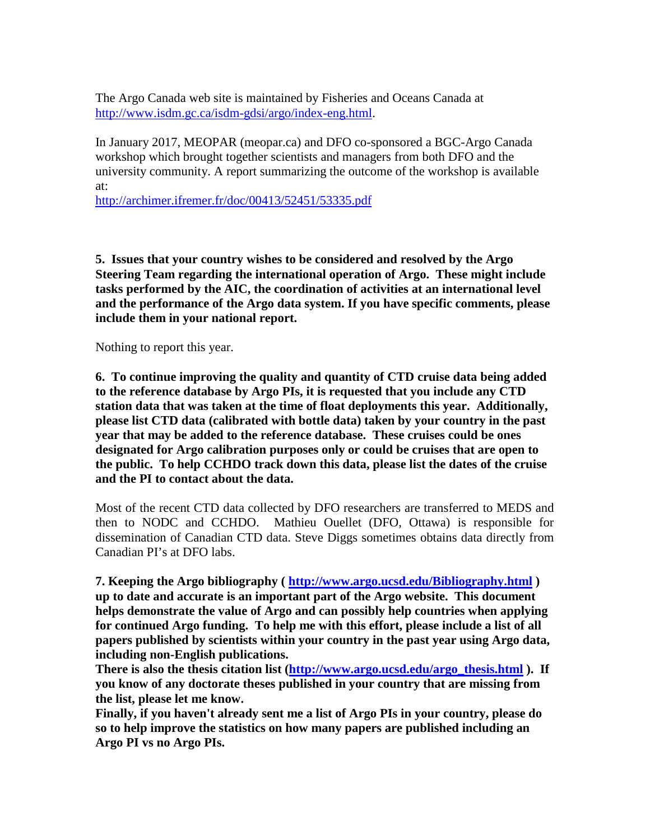The Argo Canada web site is maintained by Fisheries and Oceans Canada at [http://www.isdm.gc.ca/isdm-gdsi/argo/index-eng.html.](http://www.isdm.gc.ca/isdm-gdsi/argo/index-eng.html)

In January 2017, MEOPAR (meopar.ca) and DFO co-sponsored a BGC-Argo Canada workshop which brought together scientists and managers from both DFO and the university community. A report summarizing the outcome of the workshop is available at:

<http://archimer.ifremer.fr/doc/00413/52451/53335.pdf>

**5. Issues that your country wishes to be considered and resolved by the Argo Steering Team regarding the international operation of Argo. These might include tasks performed by the AIC, the coordination of activities at an international level and the performance of the Argo data system. If you have specific comments, please include them in your national report.**

Nothing to report this year.

**6. To continue improving the quality and quantity of CTD cruise data being added to the reference database by Argo PIs, it is requested that you include any CTD station data that was taken at the time of float deployments this year. Additionally, please list CTD data (calibrated with bottle data) taken by your country in the past year that may be added to the reference database. These cruises could be ones designated for Argo calibration purposes only or could be cruises that are open to the public. To help CCHDO track down this data, please list the dates of the cruise and the PI to contact about the data.**

Most of the recent CTD data collected by DFO researchers are transferred to MEDS and then to NODC and CCHDO. Mathieu Ouellet (DFO, Ottawa) is responsible for dissemination of Canadian CTD data. Steve Diggs sometimes obtains data directly from Canadian PI's at DFO labs.

**7. Keeping the Argo bibliography (<http://www.argo.ucsd.edu/Bibliography.html> ) up to date and accurate is an important part of the Argo website. This document helps demonstrate the value of Argo and can possibly help countries when applying for continued Argo funding. To help me with this effort, please include a list of all papers published by scientists within your country in the past year using Argo data, including non-English publications.** 

**There is also the thesis citation list [\(http://www.argo.ucsd.edu/argo\\_thesis.html](http://www.argo.ucsd.edu/argo_thesis.html) ). If you know of any doctorate theses published in your country that are missing from the list, please let me know.**

**Finally, if you haven't already sent me a list of Argo PIs in your country, please do so to help improve the statistics on how many papers are published including an Argo PI vs no Argo PIs.**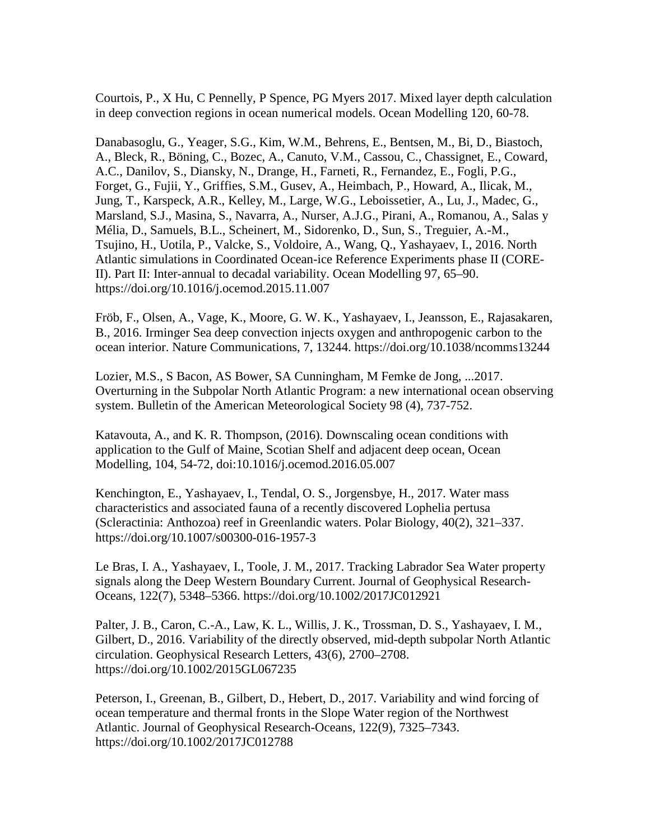Courtois, P., X Hu, C Pennelly, P Spence, PG Myers 2017. Mixed layer depth calculation in deep convection regions in ocean numerical models. Ocean Modelling 120, 60-78.

Danabasoglu, G., Yeager, S.G., Kim, W.M., Behrens, E., Bentsen, M., Bi, D., Biastoch, A., Bleck, R., Böning, C., Bozec, A., Canuto, V.M., Cassou, C., Chassignet, E., Coward, A.C., Danilov, S., Diansky, N., Drange, H., Farneti, R., Fernandez, E., Fogli, P.G., Forget, G., Fujii, Y., Griffies, S.M., Gusev, A., Heimbach, P., Howard, A., Ilicak, M., Jung, T., Karspeck, A.R., Kelley, M., Large, W.G., Leboissetier, A., Lu, J., Madec, G., Marsland, S.J., Masina, S., Navarra, A., Nurser, A.J.G., Pirani, A., Romanou, A., Salas y Mélia, D., Samuels, B.L., Scheinert, M., Sidorenko, D., Sun, S., Treguier, A.-M., Tsujino, H., Uotila, P., Valcke, S., Voldoire, A., Wang, Q., Yashayaev, I., 2016. North Atlantic simulations in Coordinated Ocean-ice Reference Experiments phase II (CORE-II). Part II: Inter-annual to decadal variability. Ocean Modelling 97, 65–90. https://doi.org/10.1016/j.ocemod.2015.11.007

Fröb, F., Olsen, A., Vage, K., Moore, G. W. K., Yashayaev, I., Jeansson, E., Rajasakaren, B., 2016. Irminger Sea deep convection injects oxygen and anthropogenic carbon to the ocean interior. Nature Communications, 7, 13244. https://doi.org/10.1038/ncomms13244

Lozier, M.S., S Bacon, AS Bower, SA Cunningham, M Femke de Jong, ...2017. Overturning in the Subpolar North Atlantic Program: a new international ocean observing system. Bulletin of the American Meteorological Society 98 (4), 737-752.

Katavouta, A., and K. R. Thompson, (2016). Downscaling ocean conditions with application to the Gulf of Maine, Scotian Shelf and adjacent deep ocean, Ocean Modelling, 104, 54-72, doi:10.1016/j.ocemod.2016.05.007

Kenchington, E., Yashayaev, I., Tendal, O. S., Jorgensbye, H., 2017. Water mass characteristics and associated fauna of a recently discovered Lophelia pertusa (Scleractinia: Anthozoa) reef in Greenlandic waters. Polar Biology, 40(2), 321–337. https://doi.org/10.1007/s00300-016-1957-3

Le Bras, I. A., Yashayaev, I., Toole, J. M., 2017. Tracking Labrador Sea Water property signals along the Deep Western Boundary Current. Journal of Geophysical Research-Oceans, 122(7), 5348–5366. https://doi.org/10.1002/2017JC012921

Palter, J. B., Caron, C.-A., Law, K. L., Willis, J. K., Trossman, D. S., Yashayaev, I. M., Gilbert, D., 2016. Variability of the directly observed, mid-depth subpolar North Atlantic circulation. Geophysical Research Letters, 43(6), 2700–2708. https://doi.org/10.1002/2015GL067235

Peterson, I., Greenan, B., Gilbert, D., Hebert, D., 2017. Variability and wind forcing of ocean temperature and thermal fronts in the Slope Water region of the Northwest Atlantic. Journal of Geophysical Research-Oceans, 122(9), 7325–7343. https://doi.org/10.1002/2017JC012788